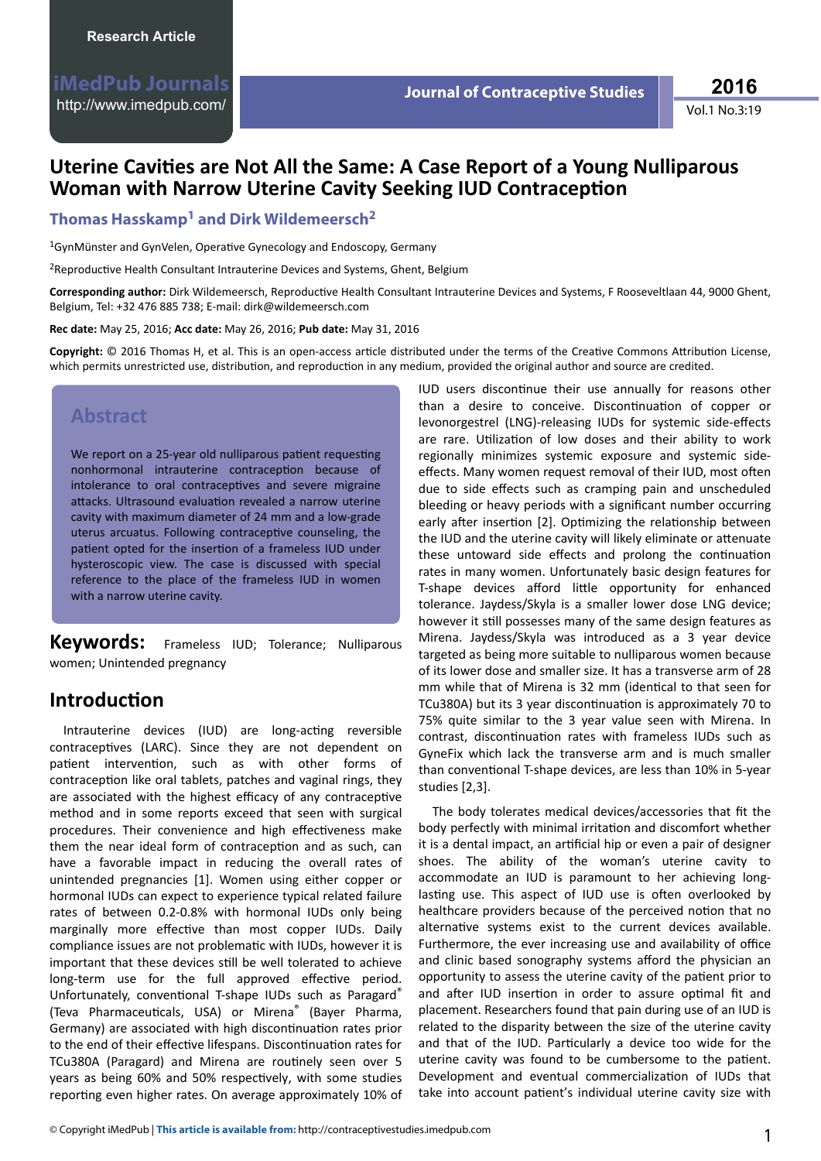Vol.1 No.3:19 **2016**

# **Uterine Cavities are Not All the Same: A Case Report of a Young Nulliparous Woman with Narrow Uterine Cavity Seeking IUD Contraception**

**Thomas Hasskamp<sup>1</sup> and Dirk Wildemeersch<sup>2</sup>**

<sup>1</sup>GynMünster and GynVelen, Operative Gynecology and Endoscopy, Germany

<sup>2</sup>Reproductive Health Consultant Intrauterine Devices and Systems, Ghent, Belgium

Corresponding author: Dirk Wildemeersch, Reproductive Health Consultant Intrauterine Devices and Systems, F Rooseveltlaan 44, 9000 Ghent, Belgium, Tel: +32 476 885 738; E-mail: dirk@wildemeersch.com

**Rec date:** May 25, 2016; **Acc date:** May 26, 2016; **Pub date:** May 31, 2016

Copyright: © 2016 Thomas H, et al. This is an open-access article distributed under the terms of the Creative Commons Attribution License, which permits unrestricted use, distribution, and reproduction in any medium, provided the original author and source are credited.

## **Abstract**

We report on a 25-year old nulliparous patient requesting nonhormonal intrauterine contraception because of intolerance to oral contraceptives and severe migraine attacks. Ultrasound evaluation revealed a narrow uterine cavity with maximum diameter of 24 mm and a low-grade uterus arcuatus. Following contraceptive counseling, the patient opted for the insertion of a frameless IUD under hysteroscopic view. The case is discussed with special reference to the place of the frameless IUD in women with a narrow uterine cavity.

**Keywords:** Frameless IUD; Tolerance; Nulliparous women; Unintended pregnancy

# **Introduction**

Intrauterine devices (IUD) are long-acting reversible contraceptives (LARC). Since they are not dependent on patient intervention, such as with other forms of contraception like oral tablets, patches and vaginal rings, they are associated with the highest efficacy of any contraceptive method and in some reports exceed that seen with surgical procedures. Their convenience and high effectiveness make them the near ideal form of contraception and as such, can have a favorable impact in reducing the overall rates of unintended pregnancies [1]. Women using either copper or hormonal IUDs can expect to experience typical related failure rates of between 0.2-0.8% with hormonal IUDs only being marginally more effective than most copper IUDs. Daily compliance issues are not problematic with IUDs, however it is important that these devices still be well tolerated to achieve long-term use for the full approved effective period. Unfortunately, conventional T-shape IUDs such as Paragard® (Teva Pharmaceuticals, USA) or Mirena<sup>®</sup> (Bayer Pharma, Germany) are associated with high discontinuation rates prior to the end of their effective lifespans. Discontinuation rates for TCu380A (Paragard) and Mirena are routinely seen over 5 years as being 60% and 50% respectively, with some studies reporting even higher rates. On average approximately 10% of

IUD users discontinue their use annually for reasons other than a desire to conceive. Discontinuation of copper or levonorgestrel (LNG)-releasing IUDs for systemic side-effects are rare. Utilization of low doses and their ability to work regionally minimizes systemic exposure and systemic sideeffects. Many women request removal of their IUD, most often due to side effects such as cramping pain and unscheduled bleeding or heavy periods with a significant number occurring early after insertion [2]. Optimizing the relationship between the IUD and the uterine cavity will likely eliminate or attenuate these untoward side effects and prolong the continuation rates in many women. Unfortunately basic design features for T-shape devices afford little opportunity for enhanced tolerance. Jaydess/Skyla is a smaller lower dose LNG device; however it still possesses many of the same design features as Mirena. Jaydess/Skyla was introduced as a 3 year device targeted as being more suitable to nulliparous women because of its lower dose and smaller size. It has a transverse arm of 28 mm while that of Mirena is 32 mm (identical to that seen for TCu380A) but its 3 year discontinuation is approximately 70 to 75% quite similar to the 3 year value seen with Mirena. In contrast, discontinuation rates with frameless IUDs such as GyneFix which lack the transverse arm and is much smaller than conventional T-shape devices, are less than 10% in 5-year studies [2,3].

The body tolerates medical devices/accessories that fit the body perfectly with minimal irritation and discomfort whether it is a dental impact, an artificial hip or even a pair of designer shoes. The ability of the woman's uterine cavity to accommodate an IUD is paramount to her achieving longlasting use. This aspect of IUD use is often overlooked by healthcare providers because of the perceived notion that no alternative systems exist to the current devices available. Furthermore, the ever increasing use and availability of office and clinic based sonography systems afford the physician an opportunity to assess the uterine cavity of the patient prior to and after IUD insertion in order to assure optimal fit and placement. Researchers found that pain during use of an IUD is related to the disparity between the size of the uterine cavity and that of the IUD. Particularly a device too wide for the uterine cavity was found to be cumbersome to the patient. Development and eventual commercialization of IUDs that take into account patient's individual uterine cavity size with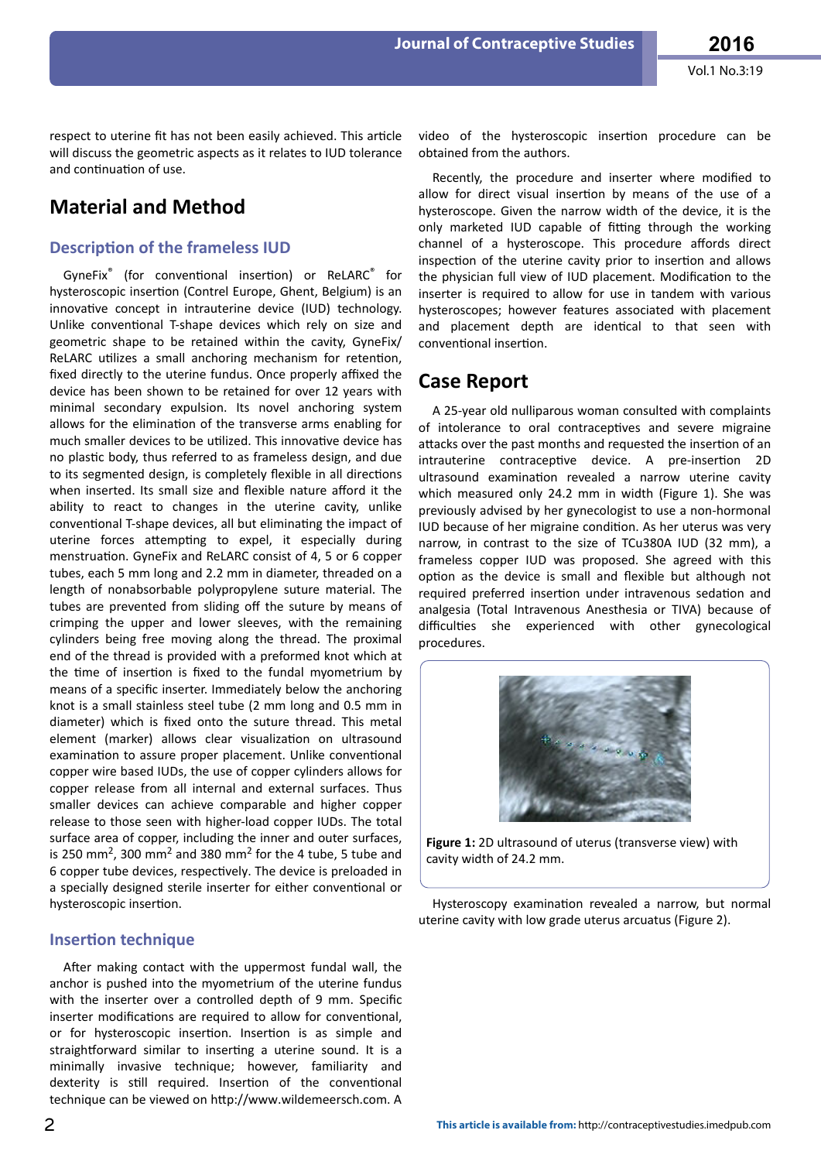respect to uterine fit has not been easily achieved. This article will discuss the geometric aspects as it relates to IUD tolerance and continuation of use.

## **Material and Method**

#### **Description of the frameless IUD**

GyneFix<sup>®</sup> (for conventional insertion) or ReLARC<sup>®</sup> for hysteroscopic insertion (Contrel Europe, Ghent, Belgium) is an innovative concept in intrauterine device (IUD) technology. Unlike conventional T-shape devices which rely on size and geometric shape to be retained within the cavity, GyneFix/ ReLARC utilizes a small anchoring mechanism for retention, fixed directly to the uterine fundus. Once properly affixed the device has been shown to be retained for over 12 years with minimal secondary expulsion. Its novel anchoring system allows for the elimination of the transverse arms enabling for much smaller devices to be utilized. This innovative device has no plastic body, thus referred to as frameless design, and due to its segmented design, is completely flexible in all directions when inserted. Its small size and flexible nature afford it the ability to react to changes in the uterine cavity, unlike conventional T-shape devices, all but eliminating the impact of uterine forces attempting to expel, it especially during menstruation. GyneFix and ReLARC consist of 4, 5 or 6 copper tubes, each 5 mm long and 2.2 mm in diameter, threaded on a length of nonabsorbable polypropylene suture material. The tubes are prevented from sliding off the suture by means of crimping the upper and lower sleeves, with the remaining cylinders being free moving along the thread. The proximal end of the thread is provided with a preformed knot which at the time of insertion is fixed to the fundal myometrium by means of a specific inserter. Immediately below the anchoring knot is a small stainless steel tube (2 mm long and 0.5 mm in diameter) which is fixed onto the suture thread. This metal element (marker) allows clear visualization on ultrasound examination to assure proper placement. Unlike conventional copper wire based IUDs, the use of copper cylinders allows for copper release from all internal and external surfaces. Thus smaller devices can achieve comparable and higher copper release to those seen with higher-load copper IUDs. The total surface area of copper, including the inner and outer surfaces, is 250 mm<sup>2</sup>, 300 mm<sup>2</sup> and 380 mm<sup>2</sup> for the 4 tube, 5 tube and 6 copper tube devices, respectively. The device is preloaded in a specially designed sterile inserter for either conventional or hysteroscopic insertion.

#### **Insertion technique**

After making contact with the uppermost fundal wall, the anchor is pushed into the myometrium of the uterine fundus with the inserter over a controlled depth of 9 mm. Specific inserter modifications are required to allow for conventional, or for hysteroscopic insertion. Insertion is as simple and straightforward similar to inserting a uterine sound. It is a minimally invasive technique; however, familiarity and dexterity is still required. Insertion of the conventional technique can be viewed on http://www.wildemeersch.com. A

video of the hysteroscopic insertion procedure can be obtained from the authors.

**Journal of Contraceptive Studies**

Recently, the procedure and inserter where modified to allow for direct visual insertion by means of the use of a hysteroscope. Given the narrow width of the device, it is the only marketed IUD capable of fitting through the working channel of a hysteroscope. This procedure affords direct inspection of the uterine cavity prior to insertion and allows the physician full view of IUD placement. Modification to the inserter is required to allow for use in tandem with various hysteroscopes; however features associated with placement and placement depth are identical to that seen with conventional insertion

## **Case Report**

A 25-year old nulliparous woman consulted with complaints of intolerance to oral contraceptives and severe migraine attacks over the past months and requested the insertion of an intrauterine contraceptive device. A pre-insertion 2D ultrasound examination revealed a narrow uterine cavity which measured only 24.2 mm in width (Figure 1). She was previously advised by her gynecologist to use a non-hormonal IUD because of her migraine condition. As her uterus was very narrow, in contrast to the size of TCu380A IUD (32 mm), a frameless copper IUD was proposed. She agreed with this option as the device is small and flexible but although not required preferred insertion under intravenous sedation and analgesia (Total Intravenous Anesthesia or TIVA) because of difficulties she experienced with other gynecological procedures.



**Figure 1:** 2D ultrasound of uterus (transverse view) with cavity width of 24.2 mm.

Hysteroscopy examination revealed a narrow, but normal uterine cavity with low grade uterus arcuatus (Figure 2).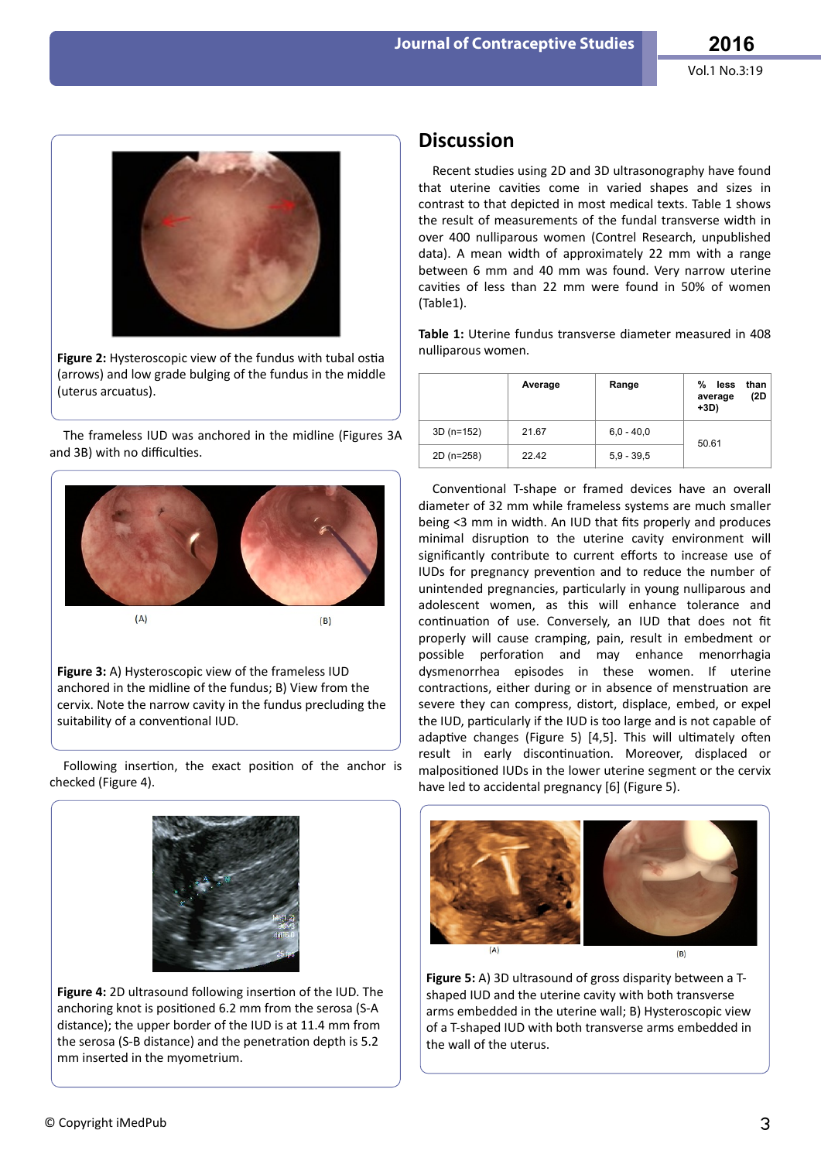

Figure 2: Hysteroscopic view of the fundus with tubal ostia (arrows) and low grade bulging of the fundus in the middle (uterus arcuatus).

The frameless IUD was anchored in the midline (Figures 3A and 3B) with no difficulties.



**Figure 3:** A) Hysteroscopic view of the frameless IUD anchored in the midline of the fundus; B) View from the cervix. Note the narrow cavity in the fundus precluding the suitability of a conventional IUD.

Following insertion, the exact position of the anchor is checked (Figure 4).



Figure 4: 2D ultrasound following insertion of the IUD. The anchoring knot is positioned 6.2 mm from the serosa (S-A distance); the upper border of the IUD is at 11.4 mm from the serosa (S-B distance) and the penetration depth is 5.2 mm inserted in the myometrium.

### **Discussion**

Recent studies using 2D and 3D ultrasonography have found that uterine cavities come in varied shapes and sizes in contrast to that depicted in most medical texts. Table 1 shows the result of measurements of the fundal transverse width in over 400 nulliparous women (Contrel Research, unpublished data). A mean width of approximately 22 mm with a range between 6 mm and 40 mm was found. Very narrow uterine cavities of less than 22 mm were found in 50% of women (Table1).

**Table 1:** Uterine fundus transverse diameter measured in 408 nulliparous women.

|             | Average | Range        | %<br>than<br>less<br>(2D<br>average<br>$+3D)$ |
|-------------|---------|--------------|-----------------------------------------------|
| $3D(n=152)$ | 21.67   | $6.0 - 40.0$ | 50.61                                         |
| 2D (n=258)  | 22.42   | $5.9 - 39.5$ |                                               |

Conventional T-shape or framed devices have an overall diameter of 32 mm while frameless systems are much smaller being <3 mm in width. An IUD that fits properly and produces minimal disruption to the uterine cavity environment will significantly contribute to current efforts to increase use of IUDs for pregnancy prevention and to reduce the number of unintended pregnancies, particularly in young nulliparous and adolescent women, as this will enhance tolerance and continuation of use. Conversely, an IUD that does not fit properly will cause cramping, pain, result in embedment or possible perforation and may enhance menorrhagia dysmenorrhea episodes in these women. If uterine contractions, either during or in absence of menstruation are severe they can compress, distort, displace, embed, or expel the IUD, particularly if the IUD is too large and is not capable of adaptive changes (Figure 5) [4,5]. This will ultimately often result in early discontinuation. Moreover, displaced or malpositioned IUDs in the lower uterine segment or the cervix have led to accidental pregnancy [6] (Figure 5).



**Figure 5:** A) 3D ultrasound of gross disparity between a Tshaped IUD and the uterine cavity with both transverse arms embedded in the uterine wall; B) Hysteroscopic view of a T-shaped IUD with both transverse arms embedded in the wall of the uterus.